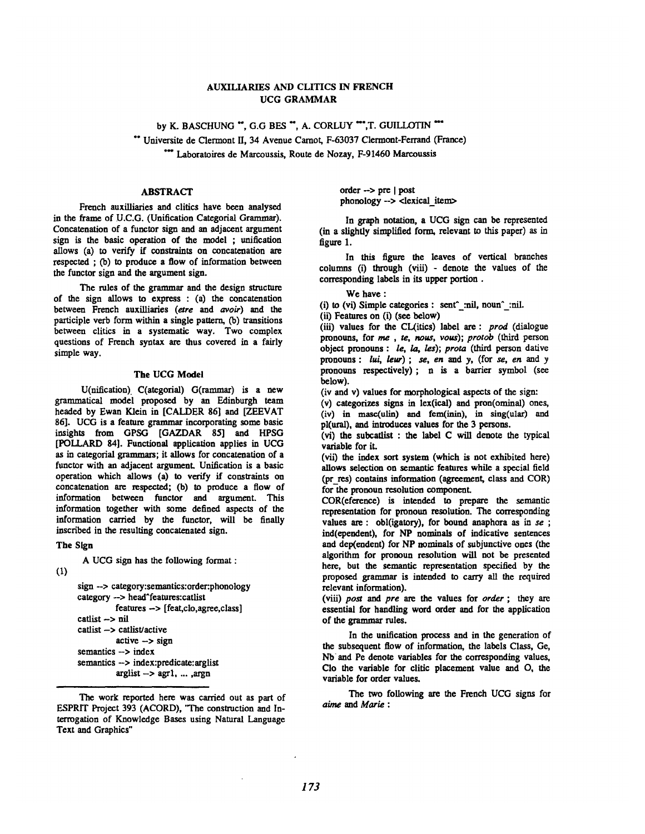# AUXILIARIES AND CLITICS IN FRENCH UCG GRAMMAR

by K. BASCHUNG \*\*, G.G BES \*\*, A. CORLUY \*\*\*, T. GUILLOTIN \*\*\* \*\* Universite de Clermont II, 34 Avenue Camot, F-63037 Clermont-Ferrand (France) \*\*\* Laboratoires de Marcoussis, Route de Nozay, F-91460 Marcoussis

## ABSTRACT

French auxilliaries and clitics have been analysed in the frame of U.C.G. (Unification Categorial Grammar). Concatenation of a functor sign and an adjacent argument sign is the basic operation of the model ; unification allows (a) to verify if constraints on concatenation are respected ; (b) to produce a flow of information between the functor sign and the argument sign.

The rules of the grammar and the design structure of the sign allows to express : (a) the concatenation between French auxilliaries *(are and avoir) and the*  participle verb form within a single pattern, (b) transitions between clitics in a systematic way. Two complex questions of French syntax are thus covered in a fairly simple way.

### The UCG Model

U(nification). C(ategorial) G(rammar) is a new grammatical model proposed by an Edinburgh team headed by Ewan Klein in [CALDER 86] and [ZEEVAT 86]. UCG is a feature grarnmar incorporating some basic insights from GPSG [GAZDAR 85] and HPSG [POLLARD 84]. Functional application applies in UCG as in categorial grammars; it allows for concatenation of a functor with an adjacent argument. Unification is a basic operation which allows (a) to verify if constraints on concatenation are respected; (b) to produce a flow of information between functor and argument. This information together with some defined aspects of the information carried by the functor, will be finally inscribed in the resulting concatenated sign.

**The** Sign

A UCG sign has the following format :

(1)

```
sign --> category:semantics:order:phonology 
category --> head^features:catlist
          features --> [feat,clo,agree,class] 
catlist -> nil
catlist \rightarrow catlist/active
           active \rightarrow signsemantics \rightarrow index
semantics -> index:predicate:arglist 
           arglist -> agr1, ... ,argn
```
The work reported here was carried out as part of ESPRIT Project 393 (ACORD), 'The construction and Interrogation of Knowledge Bases using Natural Language Text and Graphics"

order -> pre [ post phonology-> <lexical\_item>

In graph notation, a UCG sign can be represented (in a slightly simplified form, relevant to this paper) as in figure I.

In this figure the leaves of vertical branches columns (i) through (viii) - denote the values of the corresponding labels in its upper portion.

We have :

(i) to (vi) Simple categories : sent^ :nil, noun^ :nil.

(ii) Features on (i) (see below)

(iii) values for the CL(itics) label are: *prod* (dialogue pronouns, for me , *re, noua, vous); protob (third* person object pronouns : *le, la,* /es); *prota (third* person dative pronouns : *lui, leur) ; se, en* and y, (for *se, en and y*  pronouns respectively); n is a barrier symbol (see below).

(iv and v) values for morphological aspects of the sign:

(v) categorizes signs in lex(ical) and pron(ominal) ones, (iv) in maac(ulin) and fem(inin), in sing(ular) and pl(ural), and introduces values for the 3 persons.

(vi) the subcaflist : the label C will denote the typical variable for it.

(vii) the index sort system (which is not exhibited here) allows selection on semantic features while a special field (pr res) contains information (agreement, class and COR) for the pronoun resolution component.

COR(eference) is intended to prepare the semantic representation for pronoun resolution. The corresponding values are : obl(igatory), for bound anaphora as in *se ;*  ind(ependent), for NP nominals of indicative sentences and dep(endent) for NP nominals of subjunctive ones (the algorithm for pronoun resolution will not be presented here, but the semantic representation specified by the proposed grammar is intended to carry all the required relevant information).

(viii) *post and pre are the* values for *order* ; they are essential for handling word order and for the application of the grammar roles.

In the unification process and in the generation of the subsequent flow of information, the labels Class, Ge, Nb and Pe denote variables for the corresponding values, Clo the variable for clitic placement value and O, the variable for order values.

The two following are the French UCG signs for aime and Marie :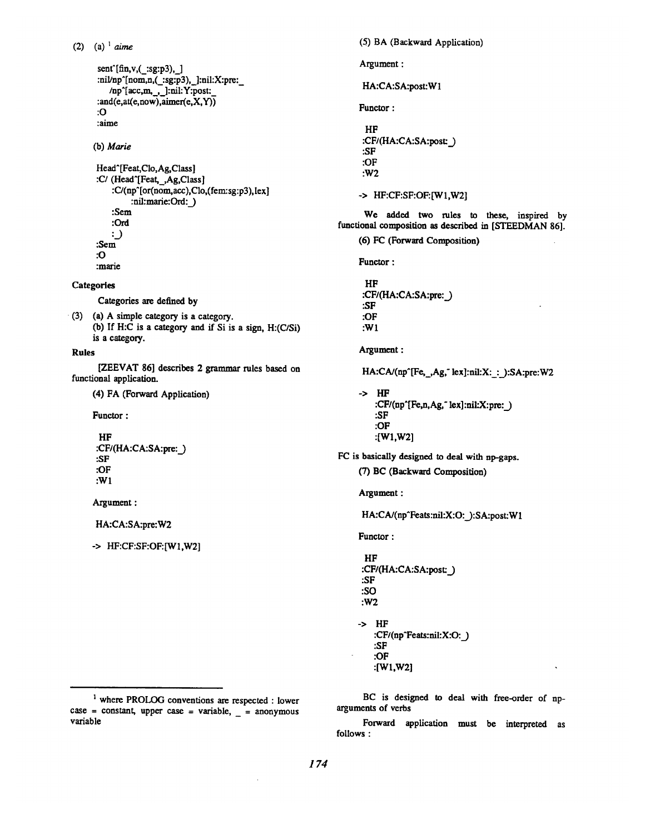```
(2) (a) 1 aime
```

```
sent^{\text{fin},v}, (xg:p3), ]
:nil/np^[nom,n,(_:sg:p3),_]:nil:X:pre:_
   /np<sup>\arctan</sup>, ,_]:nil:Y:post:
:and(e,at(e,now),aimer(e,X,Y))
:0 
:aime
```
(b) *Marie* 

```
Head^ [Feat, Clo, Ag, Class]
:C/(Head'[Feat,_,Ag,Class] 
    :C/(np'[or(nom, acc),Clo,(fem:sg:p3), lex] 
         :nil:marie:Ord: )
    :Sem
    :Ord 
    \cdot.
:Sem 
:O 
:marie
```
**Categories** 

Categories are defined by

• (3) (a) A simple category is a category. (b) If H:C is a category and if Si is a sign,  $H: (C/Si)$ is a category.

**Rules** 

[ZEEVAT 86] describes 2 grammar rules based on functional application.

(4) FA (Forward Application)

Functor :

```
HF 
:CF/(HA:CA:SA:pre:_) 
:SF 
:OF 
:W1
```
Argument :

HA:CA:SA:pre:W2

-> HF:CF:SF:OF:[WI,W2]

(5) BA (Bsckward Application) Argument : HA:CA:SA:post:W1 Functor : HF :CF/(HA:CA:SA:post:\_) :SF :OF :W2 -> HF:CF:SF:OF:[W1,W2] We added two rules to these, inspired by functional composition as described in [STEEDMAN 86]. (6) FC (Forward Composition) Functor : HF :CF/(HA:CA:SA:pre: ) :SF :OF :Wl Argument : HA:CA/(np^[Fe,\_,Ag," lex]:nil:X:\_:\_):SA:pre:W2 -> HF :CF/(np^[Fe,n,Ag," lex]:nil:X:pre:\_) :SF :OF :[Wl,W2] FC is basically designed to deal with np-gaps. (7) BC (Backward Composition) Argument : HA:CA/(np^Feats:nil:X:O:\_):SA:post:W1 Functor : HF :CF/(HA:CA:SA:post:\_) :SF :SO :W2 -> HF :CF/(np^Feats:nil:X:O: ) :SF :OF :[Wl,W2]

BC is designed to deal with free-order of nparguments of verbs

Forward application must be interpreted as follows :

<sup>&</sup>lt;sup>1</sup> where PROLOG conventions are respected : lower case = constant, upper case = variable,  $=$  anonymous variable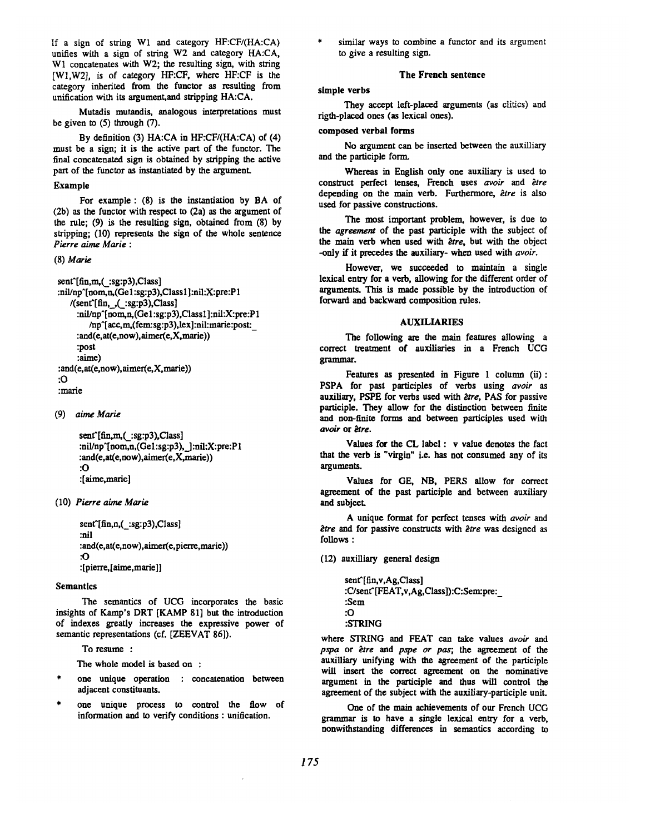If a sign of string Wl and category HF:CF/(HA:CA) unifies with a sign of string W2 and category HA:CA, W1 concatenates with W2; the resulting sign, with string [W1,W2], is of category HF:CF, where HF:CF is the category inherited from the functor as resulting from unification with its argument, and stripping HA:CA.

Mutadis mutandis, analogous interpretations must be given to (5) through (7).

By definition (3) HA:CA in HF:CF/(HA:CA) of (4) must be a sign; it is the active part of the functor. The final concatenated sign is obtained by stripping the active part of the functor as instantiated by the argument.

## Example

For example: (8) is the instantiation by BA of (2b) as the functor with respect to (2a) as the argument of the rule; (9) is the resulting sign, obtained from (8) by stripping; (10) represents the sign of the whole sentence *Pierre aime Marie :* 

# (8) Marie

```
sent^{\text{f}}(fin,m,(\;:\text{sg}:p3),Class):nil/np^[nom,n,(Ge1:sg:p3),Class1]:nil:X:pre:P1
   /(senffin, (:sg:p3),Class):nil/np^[nom,n,(Ge l:sg:p3),Class 1]:nil:X:pre:P 1 
        /np'[acc, m,(fem:sg:p3),lex]:nil:marie:post:_ 
     : and(e, at(e,now), aimer(e,X,marie)) 
     :post 
     :aime) 
:and(e, at(e,now),aimer(e,X, marie)) 
:0 
:marie
```
(9) *aime Marie* 

sent'[fin,m,(\_:sg:p3),Class] :nil/np'[nom,n,(Gel :sg:p3), ] :nil:X:pre:P 1 :and(e,at(e,now),aimer(e,X,marie)) :O :[aime,murie]

(10) *Pierre aime Marie* 

sent'[fin,n,(\_:sg:p3),Class] :nil :and(e,at(e,now),aimer(e,pierre,marie)) :O :[pierre,[alme,marie]]

#### Semantics

The semantics of UCG incorporates the basic insights of Kamp's DRT [KAMP 81] but the introduction of indexes greatly increases the expressive power of semantic representations (cf. [ZEEVAT 86]).

To resume :

The whole model is based on :

- one unique operation : concatenation between adjacent constituants.
- one unique process to control the flow of information and to verify conditions : unification.

similar ways to combine a functor and its argument to give a resulting sign.

### The French sentence

simple verbs

They accept left-placed arguments (as clitics) and rigth-placed ones (as lexical ones).

### **composed** verbal forms

No argument can be inserted between the auxilliary and the participle form.

Whereas in English only one auxiliary is used to construct perfect tenses, French uses avoir and être depending on the main verb. Furthermore, *être* is also used for passive constructions.

The most important problem, however, is due to *the agreement* of the past participle with the subject of the main verb when used with *être*, but with the object -only if it precedes the auxiliary- when used with *avoir.* 

However, we succeeded to maintain a single lexical entry for a verb, allowing for the different order of arguments. This is made possible by the introduction of forward and backward composition rules.

#### AUXILIARIES

The following are the main features allowing a correct treatment of auxiliaries in a French UCG grammar.

Features as presented in Figure 1 column (ii): PSPA for past participles of verbs using *avoir as*  auxiliary, PSPE for verbs used with *être*, PAS for passive participle. They allow for the distinction between finite and non-finite forms and between participles used with *avoir* or *ètre*.

Values for the CL label : v value denotes the fact that the verb is "virgin" i.e. has not consumed any of its arguments.

Values for GE, NB, PERS allow for correct agreement of the past participle and between auxiliary and subject

A unique format for perfect tenses with  $a$ voir and être and for passive constructs with être was designed as follows :

(12) auxilliary general design

sent^[fin,v,Ag,Class] :C/sent^[FEAT,v,Ag,Class]):C:Sem:pre:\_ :Sem :O :STRING

where STRING and FEAT can take values avoir and *pspa* or *ètre* and *pspe or pas*; the agreement of the auxilliary unifying with the agreement of the participle will insert the correct agreement on the nominative argument in the participle and thus will control the agreement of the subject with the auxiliary-participle unit.

One of the main achievements of our French UCG grammar is to have a single lexieal entry for a verb, nonwithstanding differences in semantics according to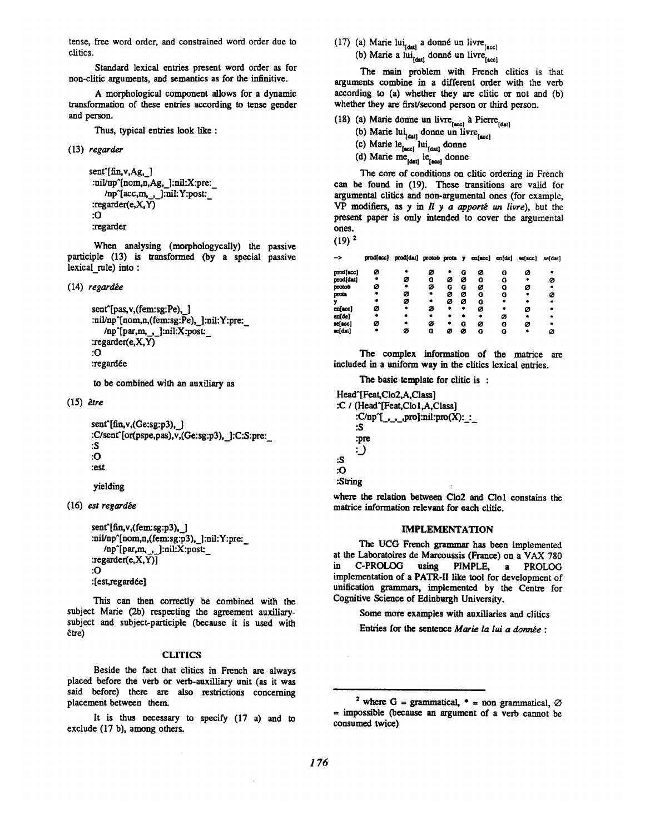tense, free word order, and constrained word order due to clitics.

Standard lexical entries present word order as for non-clitic arguments, and semantics as for the infinitive.

A morphological component allows for a dynamic transformation of these entries according to tense gender and person.

Thus, typical entries look like :

(13) *regarder* 

```
sent<sup>^</sup>[fin, v, Ag, ]
:nil/np^[nom,n,Ag, ]:nil:X:pre:
    /np~[aec,m,__,_]:nil:Y:post:_ 
:regarder(e,X,Y) 
:O 
:regarder
```
When analysing (morphologycally) the passive participle (13) is transformed (by a special passive lexical rule) into :

(14) regardée

```
sent<sup>o</sup>[pas, v,(fem:sg:Pe), 1
:nil/np^[nom,n,(fem:sg:Pe), ]:nil:Y:pre:
   /np~[par,m,_,_]:nil:X:post: 
:regarder(e,X,Y) 
:O 
:regardée
```
to be combined with an auxiliary as

(15) *~tre* 

sent'[fin,v,(Ge:sg:p3),\_] :C/sent'[or(pspe,pas),v,(Ge:sg:p3), ]:C:S:pre:\_ :S :O :est

yielding

**(16)** *est regardb.e* 

```
sent<sup>^</sup>[fin,v,(fem:sg:p3), ]
:nil/np^[nom,n,(fem:sg:p3), ]:nil:Y:pre:
   /np<sup>^</sup>[par,m, , ]:nil:X:post:
:regarder(e,X,Y)] 
:O 
:[est,regardée]
```
This can then correctly be combined with the subject Marie (2b) respecting the agreement auxiliarysubject and subject-participle (because it is used with  $em$ 

### CLITICS

Beside the fact that clitics in French are always placed before the verb or verb-auxilliary unit (as it was said before) there are also restrictions concerning placement between then

It is thus necessary to specify (17 a) and to exclude (17 b), among others.

(17) (a) Marie lui<sub>t dat</sub> a donné un livre  $_{[acc]}$ 

(b) Marie a lui $_{\text{[datt]}}$  donné un livre $_{\text{[acc]}}$ 

The main problem with French clitics is that arguments combine in a different order with the verb according to  $(a)$  whether they are clitic or not and  $(b)$ whether they are first/second person or third person.

- (18) (a) Marie donne un livre $_{[acc]}$  à Pierre $_{[data]}$ 
	- (b) Marie  $\lim_{\text{[data]}}$  donne un livre
	- (c) Marie le<sub>facci</sub> lui<sub>men</sub> donne
	- (d) Marie me<sub>rdad</sub> le<sub>tacci</sub> donne

The core of conditions on clitic ordering in French can be found in (19). These transitions are valid for argumental clitics and non-argumental ones (for example,  $VP$  modifiers, as y in  $Il$  y a apporté un livre), but the present paper is only intended to cover the argumental **ones.** 

```
(19) 2
```
--> prod(acc) prod(dat) protob prota y enfacc) en[de] se[acc) se[dat]

| prod(acc) | ø |   | ø |   | G | ø | a | ø |   |
|-----------|---|---|---|---|---|---|---|---|---|
| prod(dat) |   | ø | G | ø | ø | G | G |   | ø |
| protob    | ø |   | ø | o | G | ø | G | ø |   |
| prota     |   | ø | ٠ | ø | ø | G | G |   | ø |
| y         |   | ø | ۰ | ø | ø | o |   |   |   |
| en[acc]   | ø |   | ø | ٠ |   | ø |   | ø |   |
| en(de)    |   |   | ٠ |   |   | ۰ | ø |   |   |
| se[acc]   | ø |   | ø |   | G | ø | G | ø |   |
| se[dat]   |   | ø | G | ø | ø | G | G |   |   |
|           |   |   |   |   |   |   |   |   |   |

The complex information of the matrice are included in a uniform way in the clitics lexical entries.

The basic template for clitic is :

```
Head^[Feat,Clo2,A,Class]
:C / (Head^[Feat,Clo1,A,Class]
      :C/np^[<sub>_,_,_,</sub>pro]:nil:pro(X):_:_
     :S 
     :pre 
     :)
:S 
:O 
:Siring
```
where the relation between Clo2 and Clol constains the matrice information relevant for each clitic.

## IMPLEMENTATION

The UCG French grammar has been implemented at the Laboratoires de Marcoussis (France) on a VAX 780 in C-PROLOG using PIMPLE, a PROLOG implementation of a PATR-II like tool for development of unification grammars, implemented by the Centre for Cognitive Science of Edinburgh University.

Some more examples with auxiliaries and clitics

Entries for the sentence *Marie la lui a donnée :* 

<sup>&</sup>lt;sup>2</sup> where G = grammatical,  $*$  = non grammatical,  $\varnothing$  $=$  impossible (because an argument of a verb cannot be consumed twice)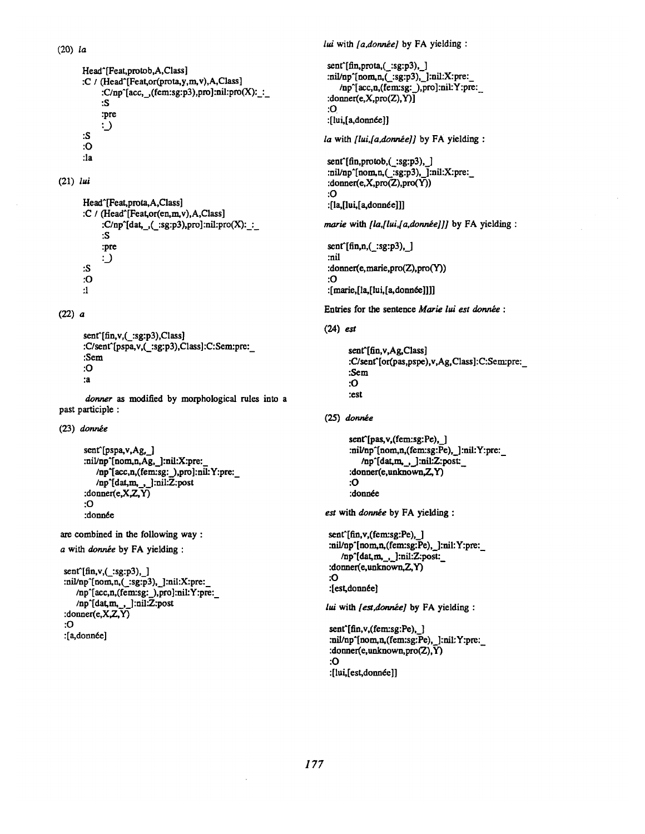(20) *la* 

```
Head^[Feat,protob,A,Class] 
:C / (Head^[Feat,or(prota,y,m,v),A,Class]
     :C/np^[aee,._,(fem:sg:p3),pro] :nil:pro(X):_:_ 
     :S 
     :pre 
     :_) 
:S 
:O 
:la
```
(21) *lui* 

```
Head^[Feat,prota,A,Class] 
:C / (Head^[Feat,or(en, m, v), A, Class]
      :C/np^{\wedge}[dat, ,(..:sg:p3),pro]:nil:pro(X): :
      :S 
      :pre 
      :__) 
:S 
:O 
:1
```
(22) a

```
sent'[fin,v,(_:sg:p3),Class] 
:C/sent^[pspa,v,(_:sg:p3),Class]:C:Sem:pre:
:Sem
:O 
"a
```
*donner as* modified by morphological rules into a past participle :

 $(23)$  donnée

```
sent<sup>c</sup>[pspa, v,Ag, ]
:nil/np^[nom,n,Ag, ]:nil:X:pre:
   /np^[acc,n,(fem:sg:_),pro]:nil:Y:pre:
   /np~[dat,m,. ,_]:nil:Z:post 
:donner(e,X,Z,Y) 
:O 
:donnde
```
are combined in the following way :

a with donnée by FA yielding :

```
\text{sent}^{\text{fin},v, (\text{sg}:p3),}]
:nil/np^[nom, n, (\_.:sg:p3), ]:nil:X:pre:
    /np~[acc,n,(fem:sg:_),pro]:nil:Y:pre:_ 
    /np^[dat, m,_,_]:nil:Z:post 
:\text{donner}(e, X, Z, Y):O 
:[a, donnée]
```
*lui with [a,donniee]* by FA yielding :

sent^[fin,prota,(\_:sg:p3),\_] :nil/np^[nom,n,(\_:sg:p3),\_]:nil:X:pre:\_ /np~[acc,n,(fem:sg:\_),pro]:nil:Y:pre:\_ : $\text{domer}(e, X, pro(Z), Y)$ ] :0 :[lui,[a,donnée]]

*la with [lui,[a,donnée]]* by FA yielding :

sent^[fin,protob,(\_:sg:p3),\_] :nil/np^[nom,n,(\_:sg:p3),\_]:nil:X:pre:\_ :donner(e,X,pro(Z),pro(Y)) :O :[la,[lui,[a,donn6e]]]

marie with *[la,[lui,[a,donnée]]]* by FA yielding :

 $sent^{\text{fin},n}$ ,  $:=$  $sg: p3)$ , ] :nil :donner(e, marie,pro(Z),pro(Y) ) :O :[marie,[la,[lui,[a,donnée]]]]

Entries for the sentence *Marie lui est donnée* :

## (24) est

```
sent [fin, v, Ag, Class]
:C/sent^[or(pas,pspe),v,Ag,Class]:C:Sem:pre:
:Sem 
:O 
:est
```
 $(25)$  donnée

```
sent^[pas,v,(fem:sg:Pe), ]
:ni\nunp<sup>-</sup>[nom,n,(fem:sg:Pe), ]:nil:Y:pre:
   /np^[dat,m, _, _]:nil:Z:post:
:donner(e,unknown,Z,Y) 
:0 
:donnée
```
*est* with *donnée* by FA yielding :

sent^[fin,v,(fem:sg:Pe),\_] :nil/np^[nom,n,(fem:sg:Pe),\_]:nil:Y:pre:\_ /np^[dat,m, \_, \_]:nil:Z:post:\_ :donner(e, unknown,Z,Y) :O :[est, donnée]

lui with [est,donnée] by FA yielding :

sent<sup>^</sup>[fin,v,(fem:sg:Pe), ] :nil/np^[nom,n, (fem:sg:Pe), ]:nil:Y:pre: : donner(e, unknown,  $pro(Z)$ ,  $\overline{Y}$ ) :O :[lui,[est,donnée]]